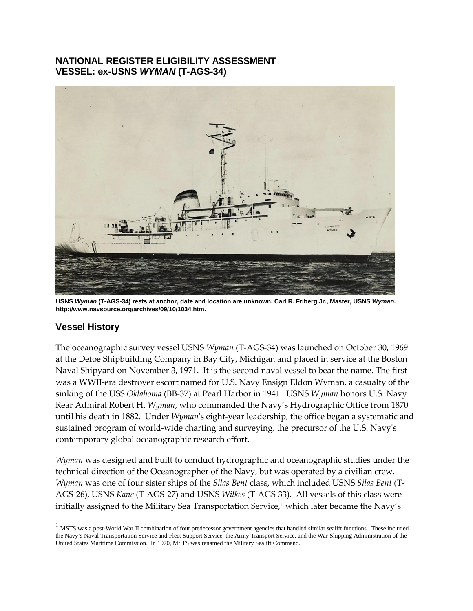## **NATIONAL REGISTER ELIGIBILITY ASSESSMENT VESSEL: ex-USNS** *WYMAN* **(T-AGS-34)**



**USNS** *Wyman* **(T-AGS-34) rests at anchor, date and location are unknown. Carl R. Friberg Jr., Master, USNS** *Wyman***. http://www.navsource.org/archives/09/10/1034.htm.**

## **Vessel History**

The oceanographic survey vessel USNS *Wyman* (T-AGS-34) was launched on October 30, 1969 at the Defoe Shipbuilding Company in Bay City, Michigan and placed in service at the Boston Naval Shipyard on November 3, 1971. It is the second naval vessel to bear the name. The first was a WWII-era destroyer escort named for U.S. Navy Ensign Eldon Wyman, a casualty of the sinking of the USS *Oklahoma* (BB-37) at Pearl Harbor in 1941. USNS *Wyman* honors U.S. Navy Rear Admiral Robert H. *Wyman*, who commanded the Navy's Hydrographic Office from 1870 until his death in 1882. Under *Wyman*'s eight-year leadership, the office began a systematic and sustained program of world-wide charting and surveying, the precursor of the U.S. Navy's contemporary global oceanographic research effort.

*Wyman* was designed and built to conduct hydrographic and oceanographic studies under the technical direction of the Oceanographer of the Navy, but was operated by a civilian crew. *Wyman* was one of four sister ships of the *Silas Bent* class, which included USNS *Silas Bent* (T-AGS-26), USNS *Kane* (T-AGS-27) and USNS *Wilkes* (T-AGS-33). All vessels of this class were initially assigned to the Military Sea Transportation Service,<sup>1</sup> which later became the Navy's

<span id="page-0-0"></span><sup>&</sup>lt;sup>1</sup> MSTS was a post-World War II combination of four predecessor government agencies that handled similar sealift functions. These included the Navy's Naval Transportation Service and Fleet Support Service, the Army Transport Service, and the War Shipping Administration of the United States Maritime Commission. In 1970, MSTS was renamed the Military Sealift Command.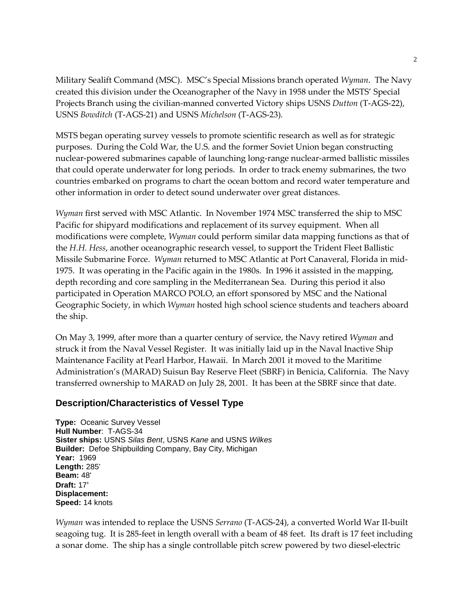Military Sealift Command (MSC). MSC's Special Missions branch operated *Wyman*. The Navy created this division under the Oceanographer of the Navy in 1958 under the MSTS' Special Projects Branch using the civilian-manned converted Victory ships USNS *Dutton* (T-AGS-22), USNS *Bowditch* (T-AGS-21) and USNS *Michelson* (T-AGS-23)*.*

MSTS began operating survey vessels to promote scientific research as well as for strategic purposes. During the Cold War, the U.S. and the former Soviet Union began constructing nuclear-powered submarines capable of launching long-range nuclear-armed ballistic missiles that could operate underwater for long periods. In order to track enemy submarines, the two countries embarked on programs to chart the ocean bottom and record water temperature and other information in order to detect sound underwater over great distances.

*Wyman* first served with MSC Atlantic. In November 1974 MSC transferred the ship to MSC Pacific for shipyard modifications and replacement of its survey equipment. When all modifications were complete, *Wyman* could perform similar data mapping functions as that of the *H.H. Hess*, another oceanographic research vessel, to support the Trident Fleet Ballistic Missile Submarine Force. *Wyman* returned to MSC Atlantic at Port Canaveral, Florida in mid-1975. It was operating in the Pacific again in the 1980s. In 1996 it assisted in the mapping, depth recording and core sampling in the Mediterranean Sea. During this period it also participated in Operation MARCO POLO, an effort sponsored by MSC and the National Geographic Society, in which *Wyman* hosted high school science students and teachers aboard the ship.

On May 3, 1999, after more than a quarter century of service, the Navy retired *Wyman* and struck it from the Naval Vessel Register. It was initially laid up in the Naval Inactive Ship Maintenance Facility at Pearl Harbor, Hawaii. In March 2001 it moved to the Maritime Administration's (MARAD) Suisun Bay Reserve Fleet (SBRF) in Benicia, California. The Navy transferred ownership to MARAD on July 28, 2001. It has been at the SBRF since that date.

### **Description/Characteristics of Vessel Type**

**Type:** Oceanic Survey Vessel **Hull Number**: T-AGS-34 **Sister ships:** USNS *Silas Bent*, USNS *Kane* and USNS *Wilkes* **Builder:** Defoe Shipbuilding Company, Bay City, Michigan **Year:** 1969 **Length:** 285' **Beam:** 48' **Draft:** 17' **Displacement: Speed:** 14 knots

*Wyman* was intended to replace the USNS *Serrano* (T-AGS-24), a converted World War II-built seagoing tug. It is 285-feet in length overall with a beam of 48 feet. Its draft is 17 feet including a sonar dome. The ship has a single controllable pitch screw powered by two diesel-electric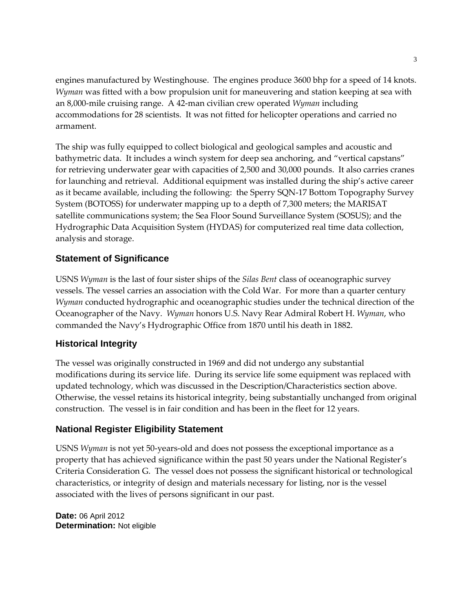engines manufactured by Westinghouse. The engines produce 3600 bhp for a speed of 14 knots. *Wyman* was fitted with a bow propulsion unit for maneuvering and station keeping at sea with an 8,000-mile cruising range. A 42-man civilian crew operated *Wyman* including accommodations for 28 scientists. It was not fitted for helicopter operations and carried no armament.

The ship was fully equipped to collect biological and geological samples and acoustic and bathymetric data. It includes a winch system for deep sea anchoring, and "vertical capstans" for retrieving underwater gear with capacities of 2,500 and 30,000 pounds. It also carries cranes for launching and retrieval. Additional equipment was installed during the ship's active career as it became available, including the following: the Sperry SQN-17 Bottom Topography Survey System (BOTOSS) for underwater mapping up to a depth of 7,300 meters; the MARISAT satellite communications system; the Sea Floor Sound Surveillance System (SOSUS); and the Hydrographic Data Acquisition System (HYDAS) for computerized real time data collection, analysis and storage.

## **Statement of Significance**

USNS *Wyman* is the last of four sister ships of the *Silas Bent* class of oceanographic survey vessels. The vessel carries an association with the Cold War. For more than a quarter century *Wyman* conducted hydrographic and oceanographic studies under the technical direction of the Oceanographer of the Navy. *Wyman* honors U.S. Navy Rear Admiral Robert H. *Wyman*, who commanded the Navy's Hydrographic Office from 1870 until his death in 1882.

## **Historical Integrity**

The vessel was originally constructed in 1969 and did not undergo any substantial modifications during its service life. During its service life some equipment was replaced with updated technology, which was discussed in the Description/Characteristics section above. Otherwise, the vessel retains its historical integrity, being substantially unchanged from original construction. The vessel is in fair condition and has been in the fleet for 12 years.

# **National Register Eligibility Statement**

USNS *Wyman* is not yet 50-years-old and does not possess the exceptional importance as a property that has achieved significance within the past 50 years under the National Register's Criteria Consideration G. The vessel does not possess the significant historical or technological characteristics, or integrity of design and materials necessary for listing, nor is the vessel associated with the lives of persons significant in our past.

**Date:** 06 April 2012 **Determination:** Not eligible